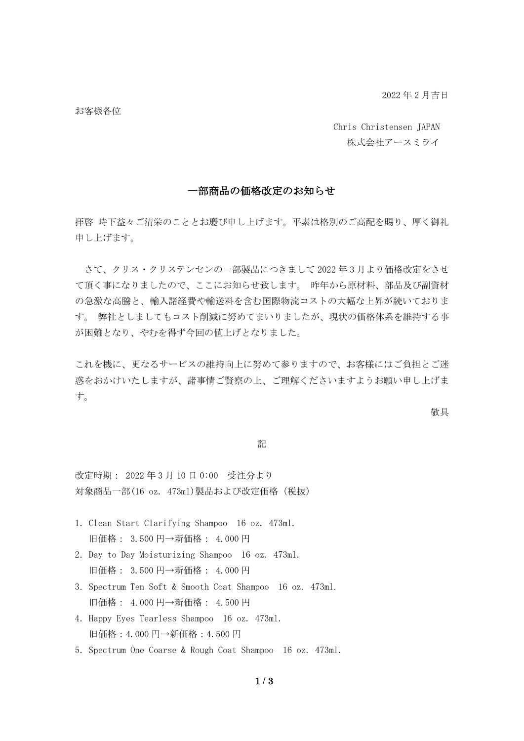2022 年 2 月吉日

お客様各位

Chris Christensen JAPAN 株式会社アースミライ

## 一部商品の価格改定のお知らせ

拝啓 時下益々ご清栄のこととお慶び申し上げます。平素は格別のご高配を賜り、厚く御礼 申し上げます。

さて、クリス・クリステンセンの一部製品につきまして 2022 年 3 月より価格改定をさせ て頂く事になりましたので、ここにお知らせ致します。 昨年から原材料、部品及び副資材 の急激な高騰と、輸入諸経費や輸送料を含む国際物流コストの大幅な上昇が続いておりま す。 弊社としましてもコスト削減に努めてまいりましたが、現状の価格体系を維持する事 が困難となり、やむを得ず今回の値上げとなりました。

これを機に、更なるサービスの維持向上に努めて参りますので、お客様にはご負担とご迷 惑をおかけいたしますが、諸事情ご賢察の上、ご理解くださいますようお願い申し上げま す。

敬具

## 記

改定時期: 2022 年 3 月 10 日 0:00 受注分より 対象商品一部(16 oz. 473ml)製品および改定価格(税抜)

- 1.Clean Start Clarifying Shampoo 16 oz. 473ml. 旧価格: 3.500 円→新価格: 4.000 円
- 2. Day to Day Moisturizing Shampoo 16 oz. 473ml. 旧価格: 3.500 円→新価格: 4.000 円
- 3.Spectrum Ten Soft & Smooth Coat Shampoo 16 oz. 473ml. 旧価格: 4.000 円→新価格: 4.500 円
- 4.Happy Eyes Tearless Shampoo 16 oz. 473ml. 旧価格:4.000 円→新価格:4.500 円
- 5.Spectrum One Coarse & Rough Coat Shampoo 16 oz. 473ml.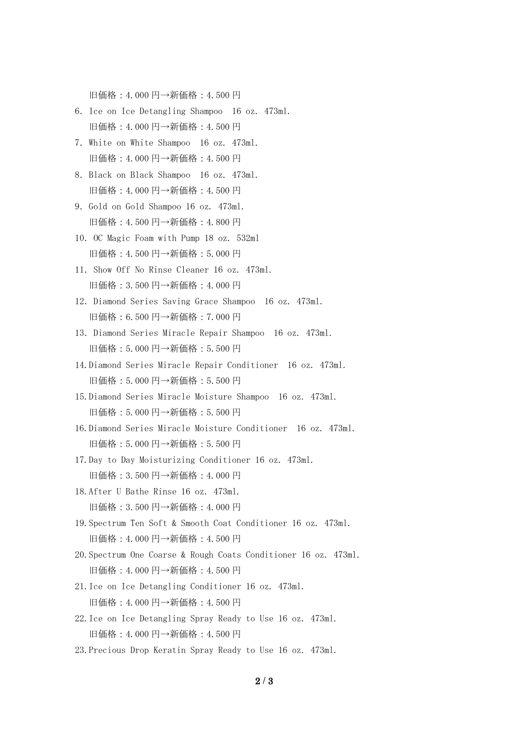旧価格:4.000 円→新価格:4.500 円

- 6.Ice on Ice Detangling Shampoo 16 oz. 473ml. 旧価格:4.000 円→新価格:4.500 円
- 7.White on White Shampoo 16 oz. 473ml. 旧価格:4.000 円→新価格:4.500 円
- 8.Black on Black Shampoo 16 oz. 473ml. 旧価格:4.000 円→新価格:4.500 円
- 9. Gold on Gold Shampoo 16 oz. 473ml. 旧価格:4.500 円→新価格:4.800 円
- 10. OC Magic Foam with Pump 18 oz. 532ml 旧価格:4.500 円→新価格:5.000 円
- 11.Show Off No Rinse Cleaner 16 oz. 473ml. 旧価格:3.500 円→新価格:4.000 円
- 12. Diamond Series Saving Grace Shampoo 16 oz. 473ml. 旧価格:6.500 円→新価格:7.000 円
- 13.Diamond Series Miracle Repair Shampoo 16 oz. 473ml. 旧価格:5.000 円→新価格:5.500 円
- 14.Diamond Series Miracle Repair Conditioner 16 oz. 473ml. 旧価格:5.000 円→新価格:5.500 円
- 15.Diamond Series Miracle Moisture Shampoo 16 oz. 473ml. 旧価格:5.000 円→新価格:5.500 円
- 16.Diamond Series Miracle Moisture Conditioner 16 oz. 473ml. 旧価格:5.000 円→新価格:5.500 円
- 17.Day to Day Moisturizing Conditioner 16 oz. 473ml. 旧価格:3.500 円→新価格:4.000 円
- 18.After U Bathe Rinse 16 oz. 473ml. 旧価格:3.500 円→新価格:4.000 円
- 19.Spectrum Ten Soft & Smooth Coat Conditioner 16 oz. 473ml. 旧価格:4.000 円→新価格:4.500 円
- 20.Spectrum One Coarse & Rough Coats Conditioner 16 oz. 473ml. 旧価格:4.000 円→新価格:4.500 円
- 21.Ice on Ice Detangling Conditioner 16 oz. 473ml. 旧価格:4.000 円→新価格:4.500 円
- 22.Ice on Ice Detangling Spray Ready to Use 16 oz. 473ml. 旧価格:4.000 円→新価格:4.500 円
- 23.Precious Drop Keratin Spray Ready to Use 16 oz. 473ml.